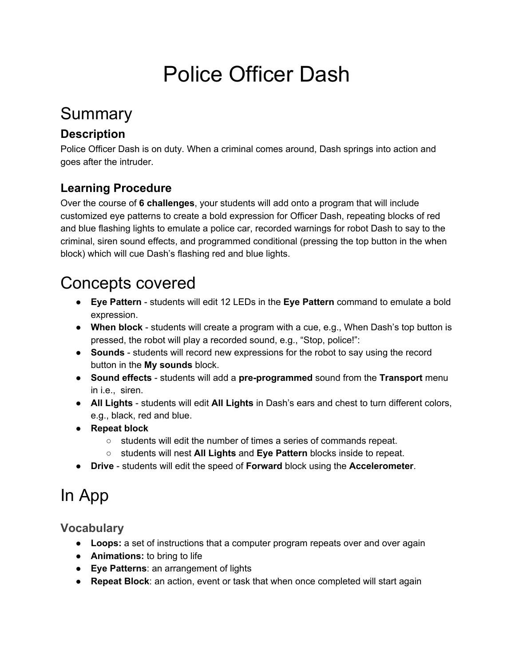# Police Officer Dash

## Summary

### **Description**

Police Officer Dash is on duty. When a criminal comes around, Dash springs into action and goes after the intruder.

### **Learning Procedure**

Over the course of **6 challenges**, your students will add onto a program that will include customized eye patterns to create a bold expression for Officer Dash, repeating blocks of red and blue flashing lights to emulate a police car, recorded warnings for robot Dash to say to the criminal, siren sound effects, and programmed conditional (pressing the top button in the when block) which will cue Dash's flashing red and blue lights.

## Concepts covered

- **Eye Pattern** students will edit 12 LEDs in the **Eye Pattern** command to emulate a bold expression.
- When block students will create a program with a cue, e.g., When Dash's top button is pressed, the robot will play a recorded sound, e.g., "Stop, police!":
- **Sounds** students will record new expressions for the robot to say using the record button in the **My sounds** block.
- **Sound effects** students will add a **pre-programmed** sound from the **Transport** menu in i.e., siren.
- **All Lights**  students will edit **All Lights** in Dash's ears and chest to turn different colors, e.g., black, red and blue.
- **Repeat block**
	- students will edit the number of times a series of commands repeat.
	- students will nest **All Lights** and **Eye Pattern** blocks inside to repeat.
- **Drive** students will edit the speed of **Forward** block using the **Accelerometer**.

## In App

### **Vocabulary**

- **Loops:** a set of instructions that a computer program repeats over and over again
- **Animations:** to bring to life
- **Eye Patterns**: an arrangement of lights
- **Repeat Block**: an action, event or task that when once completed will start again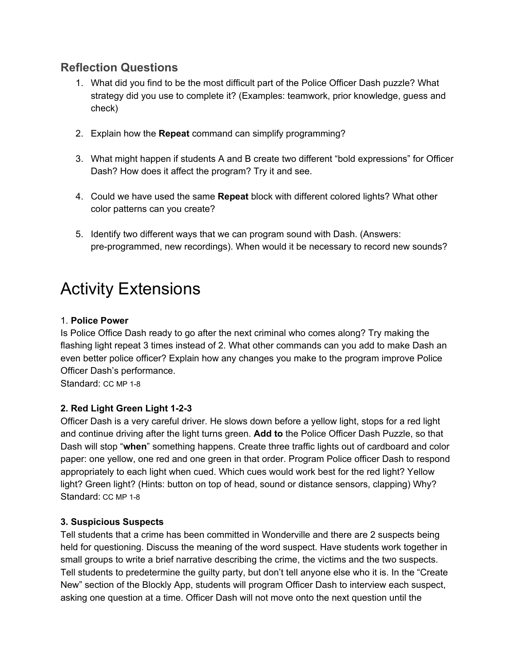### **Reflection Questions**

- 1. What did you find to be the most difficult part of the Police Officer Dash puzzle? What strategy did you use to complete it? (Examples: teamwork, prior knowledge, guess and check)
- 2. Explain how the **Repeat** command can simplify programming?
- 3. What might happen if students A and B create two different "bold expressions" for Officer Dash? How does it affect the program? Try it and see.
- 4. Could we have used the same **Repeat** block with different colored lights? What other color patterns can you create?
- 5. Identify two different ways that we can program sound with Dash. (Answers: pre-programmed, new recordings). When would it be necessary to record new sounds?

## Activity Extensions

### 1. **Police Power**

Is Police Office Dash ready to go after the next criminal who comes along? Try making the flashing light repeat 3 times instead of 2. What other commands can you add to make Dash an even better police officer? Explain how any changes you make to the program improve Police Officer Dash's performance.

Standard: CC MP 1-8

### **2. Red Light Green Light 123**

Officer Dash is a very careful driver. He slows down before a yellow light, stops for a red light and continue driving after the light turns green. **Add to** the Police Officer Dash Puzzle, so that Dash will stop "**when**" something happens. Create three traffic lights out of cardboard and color paper: one yellow, one red and one green in that order. Program Police officer Dash to respond appropriately to each light when cued. Which cues would work best for the red light? Yellow light? Green light? (Hints: button on top of head, sound or distance sensors, clapping) Why? Standard: CC MP 1-8

### **3. Suspicious Suspects**

Tell students that a crime has been committed in Wonderville and there are 2 suspects being held for questioning. Discuss the meaning of the word suspect. Have students work together in small groups to write a brief narrative describing the crime, the victims and the two suspects. Tell students to predetermine the guilty party, but don't tell anyone else who it is. In the "Create New" section of the Blockly App, students will program Officer Dash to interview each suspect, asking one question at a time. Officer Dash will not move onto the next question until the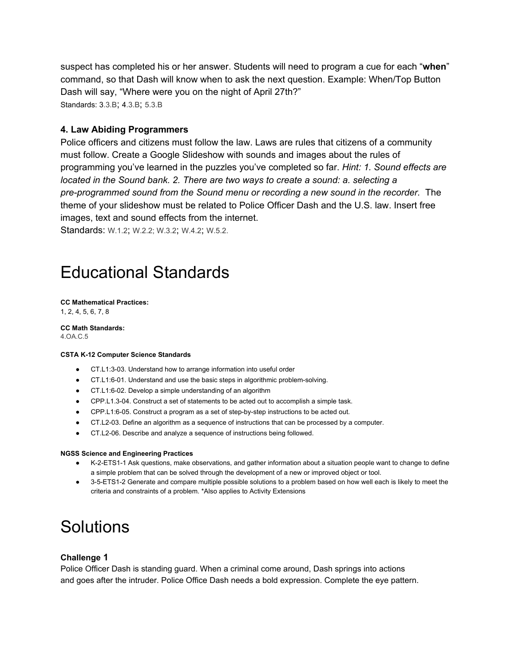suspect has completed his or her answer. Students will need to program a cue for each "**when**" command, so that Dash will know when to ask the next question. Example: When/Top Button Dash will say, "Where were you on the night of April 27th?" Standards: 3[.3.B](http://www.corestandards.org/ELA-Literacy/W/5/3/b/); [4.3.B](http://www.corestandards.org/ELA-Literacy/W/5/3/b/); [5.3.B](http://www.corestandards.org/ELA-Literacy/W/5/3/b/)

### **4. Law Abiding Programmers**

Police officers and citizens must follow the law. Laws are rules that citizens of a community must follow. Create a Google Slideshow with sounds and images about the rules of programming you've learned in the puzzles you've completed so far. *Hint: 1. Sound effects are located in the Sound bank. 2. There are two ways to create a sound: a. selecting a preprogrammed sound from the Sound menu or recording a new sound in the recorder.* The theme of your slideshow must be related to Police Officer Dash and the U.S. law. Insert free images, text and sound effects from the internet.

Standards: [W.1.2](http://www.corestandards.org/ELA-Literacy/W/1/2/); [W.2.2; W.3.2](http://www.corestandards.org/ELA-Literacy/W/3/2/); [W.4.2](http://www.corestandards.org/ELA-Literacy/W/3/2/); [W.5.2.](http://www.corestandards.org/ELA-Literacy/W/5/2/d/)

## Educational Standards

#### **CC Mathematical Practices:**

1, 2, 4, 5, 6, 7, 8

### **CC Math Standards:**

[4.OA.C.5](http://www.corestandards.org/Math/Content/4/OA/C/5/)

#### **CSTA K12 Computer Science Standards**

- CT.L1:303. Understand how to arrange information into useful order
- CT.L1:6-01. Understand and use the basic steps in algorithmic problem-solving.
- CT.L1:6-02. Develop a simple understanding of an algorithm
- CPP.L1.3-04. Construct a set of statements to be acted out to accomplish a simple task.
- CPP.L1:6-05. Construct a program as a set of step-by-step instructions to be acted out.
- CT.L203. Define an algorithm as a sequence of instructions that can be processed by a computer.
- CT.L206. Describe and analyze a sequence of instructions being followed.

#### **NGSS Science and Engineering Practices**

- [K2ETS11 A](http://www.nextgenscience.org/pe/k-2-ets1-1-engineering-design)sk questions, make observations, and gather information about a situation people want to change to define a simple problem that can be solved through the development of a new or improved object or tool.
- 35ETS12 Generate and compare multiple possible solutions to a problem based on how well each is likely to meet the criteria and constraints of a problem. \*Also applies to Activity Extensions

### Solutions

#### **Challenge 1**

Police Officer Dash is standing guard. When a criminal come around, Dash springs into actions and goes after the intruder. Police Office Dash needs a bold expression. Complete the eye pattern.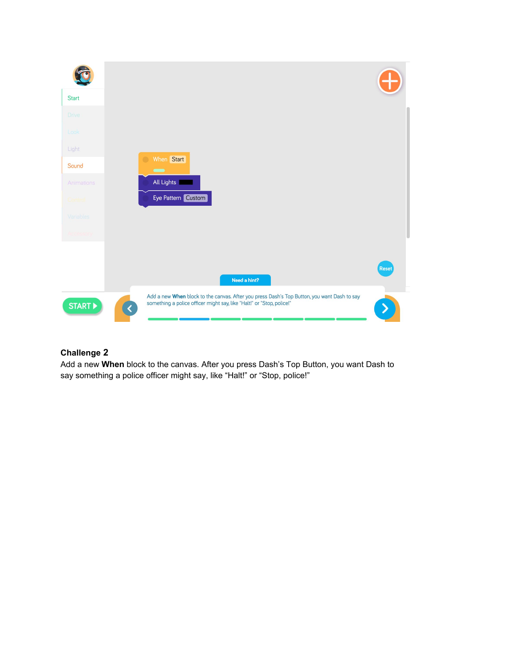

Add a new **When** block to the canvas. After you press Dash's Top Button, you want Dash to say something a police officer might say, like "Halt!" or "Stop, police!"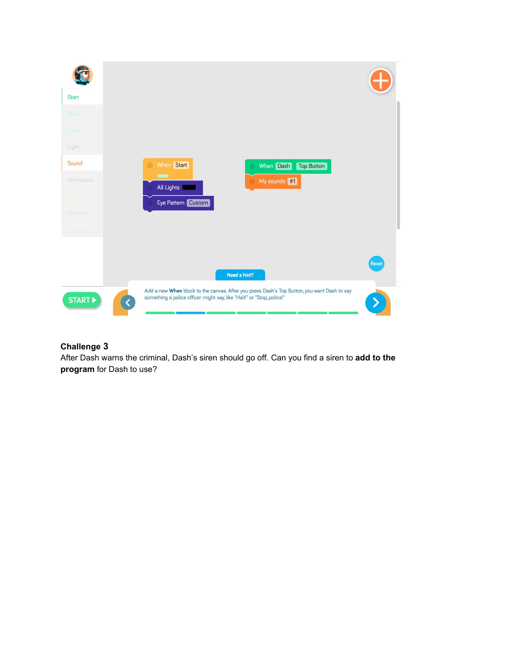

After Dash warns the criminal, Dash's siren should go off. Can you find a siren to **add to the program** for Dash to use?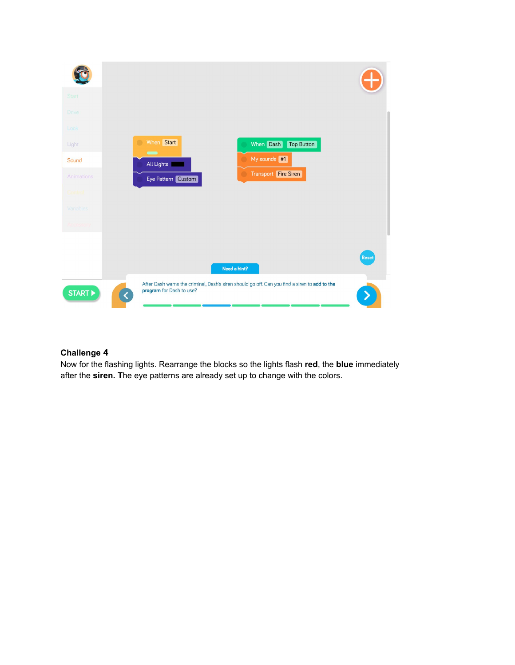

Now for the flashing lights. Rearrange the blocks so the lights flash **red**, the **blue** immediately after the **siren. T**he eye patterns are already set up to change with the colors.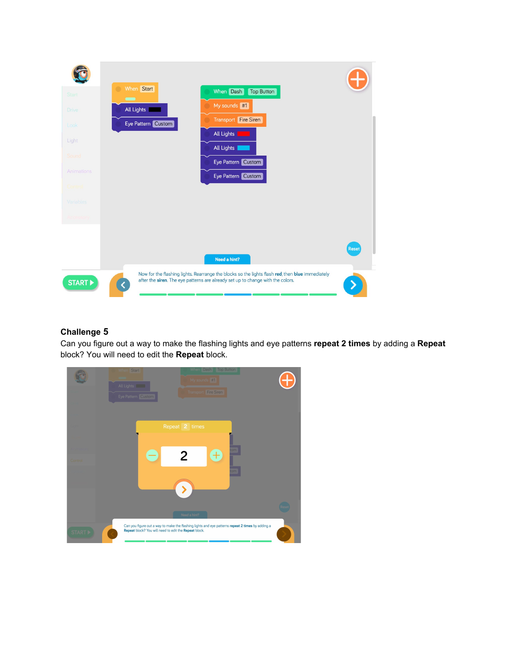| Start                 | When Start<br>$\blacksquare$ | When Dash<br>Top Button                                                                                                                                                             |              |
|-----------------------|------------------------------|-------------------------------------------------------------------------------------------------------------------------------------------------------------------------------------|--------------|
| <b>Drive</b>          | All Lights                   | My sounds #1                                                                                                                                                                        |              |
| Look                  | Eye Pattern Custom           | Transport Fire Siren                                                                                                                                                                |              |
| Light                 |                              | All Lights                                                                                                                                                                          |              |
| Sound                 |                              | All Lights                                                                                                                                                                          |              |
| <b>Animations</b>     |                              | Eye Pattern Custom                                                                                                                                                                  |              |
| Cortinal              |                              | Eye Pattern Custom                                                                                                                                                                  |              |
| Variables             |                              |                                                                                                                                                                                     |              |
| Accessory             |                              |                                                                                                                                                                                     |              |
|                       |                              |                                                                                                                                                                                     |              |
|                       |                              |                                                                                                                                                                                     | <b>Reset</b> |
|                       |                              | Need a hint?                                                                                                                                                                        |              |
| START <sup>&gt;</sup> |                              | Now for the flashing lights. Rearrange the blocks so the lights flash red, then blue immediately<br>after the siren. The eye patterns are already set up to change with the colors. |              |

Can you figure out a way to make the flashing lights and eye patterns **repeat 2 times** by adding a **Repeat** block? You will need to edit the **Repeat** block.

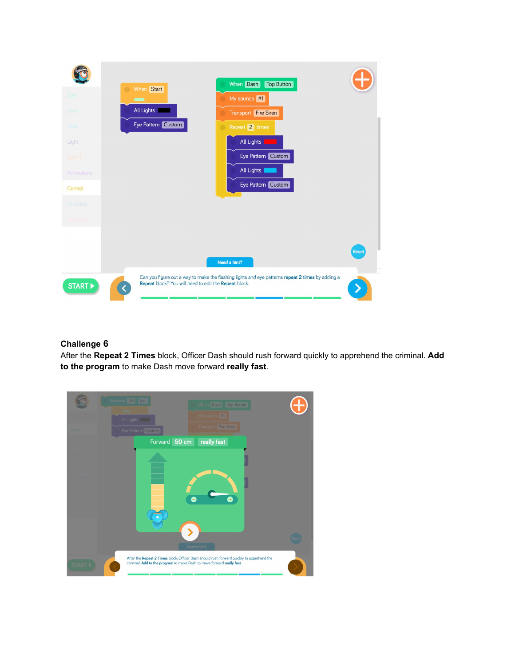

After the **Repeat 2 Times** block, Officer Dash should rush forward quickly to apprehend the criminal. **Add to the program** to make Dash move forward **really fast**.